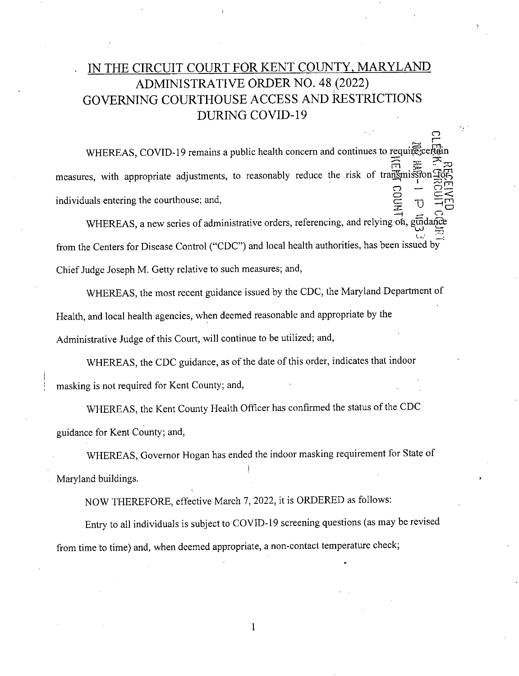## IN THE CIRCUIT COURT FOR KENT COUNTY, MARYLAND ADMINISTRATIVE ORDER NO. 48 (2022) GOVERNING COURTHOUSE ACCESS AND RESTRICTIONS DURING COVID-19

*C-)* 

.=.

WHEREAS, COVID-19 remains a public health concern and continues to requirecerta measures, with appropriate adjustments, to reasonably reduce the risk individuals entering the courthouse; and, of transmission Hotel<br>  $\frac{1}{2}$   $\frac{1}{2}$   $\frac{1}{2}$   $\frac{1}{2}$   $\frac{1}{2}$   $\frac{1}{2}$   $\frac{1}{2}$   $\frac{1}{2}$   $\frac{1}{2}$   $\frac{1}{2}$   $\frac{1}{2}$   $\frac{1}{2}$   $\frac{1}{2}$   $\frac{1}{2}$   $\frac{1}{2}$   $\frac{1}{2}$   $\frac{1}{2}$   $\frac{1}{2}$   $\frac{1}{2}$   $\frac{1}{2}$ G = 음:

WHEREAS, a new series of administrative orders, referencing, and from the Centers for Disease Control ("CDC") and local health authorities, has been issued by Chief Judge Joseph M. Getty relative to such measures; and, relying on, guidance

WHEREAS, the most recent guidance issued by the CDC, the Maryland Department of Health, and local health agencies, when deemed reasonable and appropriate by the Administrative Judge of this Court, will continue to be utilized; and,

WHEREAS, the CDC guidance, as of the date of this order, indicates that indoor masking is not required for Kent County; and,

WHEREAS, the Kent County Health Officer has confirmed the status of the CDC guidance for Kent County; and,

WHEREAS, Governor Hogan has ended the indoor masking requirement for State of Maryland buildings.

NOW THEREFORE, effective March 7, 2022, it is ORDERED as follows:

Entry to all individuals is subject to COVID-19 screening questions (as may be revised from time to time) and, when deemed appropriate, a non-contact temperature check;

1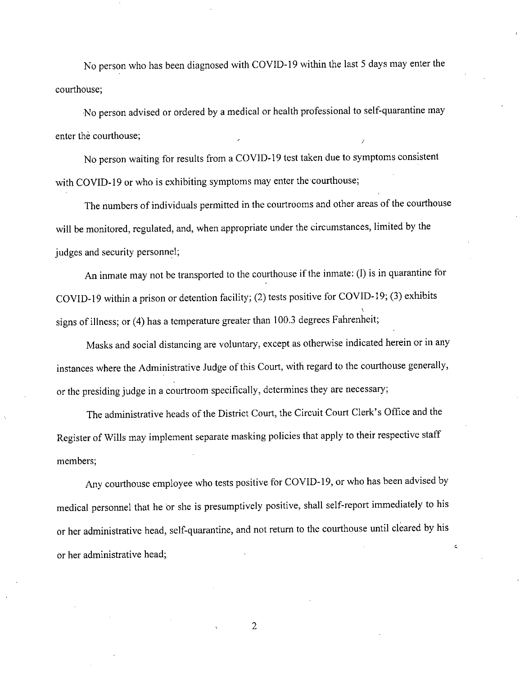No person who has been diagnosed with COVID-19 within the last 5 days may enter the courthouse;

No person advised or ordered by a medical or health professional to self-quarantine may enter the courthouse;

No person waiting for results from a COVID-19 test taken due to symptoms consistent with COVID-19 or who is exhibiting symptoms may enter the courthouse;

The numbers of individuals permitted in the courtrooms and other areas of the courthouse will be monitored, regulated, and, when appropriate under the circumstances, limited by the judges and security personnel;

An inmate may not be transported to the courthouse if the inmate: (1) is in quarantine for COVID-19 within a prison or detention facility; (2) tests positive for COVID-19; (3) exhibits signs of illness; or (4) has a temperature greater than 100.3 degrees Fahrenheit;

Masks and social distancing are voluntary, except as otherwise indicated herein or in any instances where the Administrative Judge of this Court, with regard to the courthouse generally, or the presiding judge in a courtroom specifically, determines they are necessary;

The administrative heads of the District Court, the Circuit Court Clerk's Office and the Register of Wills may implement separate masking policies that apply to their respective staff members;

Any courthouse employee who tests positive for COVID-19, or who has been advised by medical personnel that he or she is presumptively positive, shall self-report immediately to his or her administrative head, self-quarantine, and not return to the courthouse until cleared by his or her administrative head;

2